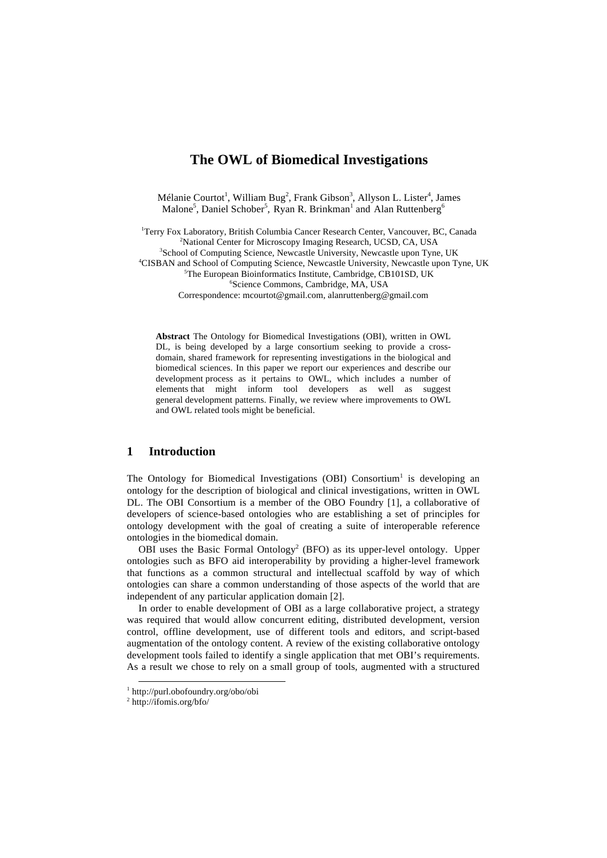# **The OWL of Biomedical Investigations**

Mélanie Courtot<sup>1</sup>, William Bug<sup>2</sup>, Frank Gibson<sup>3</sup>, Allyson L. Lister<sup>4</sup>, James Malone<sup>5</sup>, Daniel Schober<sup>5</sup>, Ryan R. Brinkman<sup>1</sup> and Alan Ruttenberg<sup>6</sup>

<sup>1</sup>Terry Fox Laboratory, British Columbia Cancer Research Center, Vancouver, BC, Canada<br><sup>2</sup>National Center for Microscopy Imaging Research LICSD, CA, LISA <sup>2</sup>National Center for Microscopy Imaging Research, UCSD, CA, USA <sup>3</sup>School of Computing Science, Newcastle University, Newcastle upon Tyne, UK <sup>4</sup>CISBAN and School of Computing Science, Newcastle University, Newcastle upon Tyne, UK <sup>5</sup>The European Bioinformatics Institute, Cambridge, CB101SD, UK Science Commons, Cambridge, MA, USA Correspondence: mcourtot@gmail.com, alanruttenberg@gmail.com

**Abstract** The Ontology for Biomedical Investigations (OBI), written in OWL DL, is being developed by a large consortium seeking to provide a crossdomain, shared framework for representing investigations in the biological and biomedical sciences. In this paper we report our experiences and describe our development process as it pertains to OWL, which includes a number of elements that might inform tool developers as well as suggest general development patterns. Finally, we review where improvements to OWL and OWL related tools might be beneficial.

# **1 Introduction**

The Ontology for Biomedical Investigations (OBI) Consortium<sup>1</sup> is developing an ontology for the description of biological and clinical investigations, written in OWL DL. The OBI Consortium is a member of the OBO Foundry [1], a collaborative of developers of science-based ontologies who are establishing a set of principles for ontology development with the goal of creating a suite of interoperable reference ontologies in the biomedical domain.

OBI uses the Basic Formal Ontology<sup>2</sup> (BFO) as its upper-level ontology. Upper ontologies such as BFO aid interoperability by providing a higher-level framework that functions as a common structural and intellectual scaffold by way of which ontologies can share a common understanding of those aspects of the world that are independent of any particular application domain [2].

In order to enable development of OBI as a large collaborative project, a strategy was required that would allow concurrent editing, distributed development, version control, offline development, use of different tools and editors, and script-based augmentation of the ontology content. A review of the existing collaborative ontology development tools failed to identify a single application that met OBI's requirements. As a result we chose to rely on a small group of tools, augmented with a structured

 <sup>1</sup> http://purl.obofoundry.org/obo/obi

<sup>2</sup> http://ifomis.org/bfo/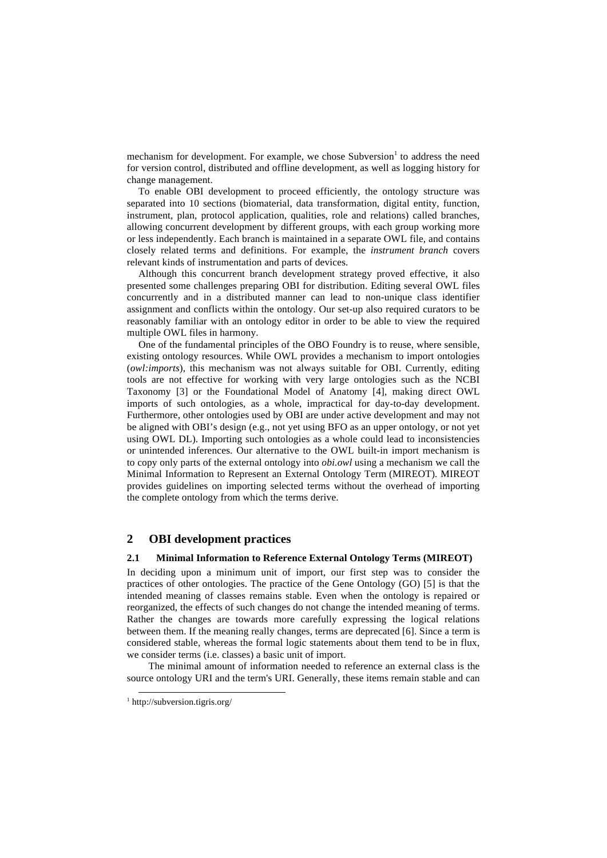mechanism for development. For example, we chose Subversion<sup>1</sup> to address the need for version control, distributed and offline development, as well as logging history for change management.

To enable OBI development to proceed efficiently, the ontology structure was separated into 10 sections (biomaterial, data transformation, digital entity, function, instrument, plan, protocol application, qualities, role and relations) called branches, allowing concurrent development by different groups, with each group working more or less independently. Each branch is maintained in a separate OWL file, and contains closely related terms and definitions. For example, the *instrument branch* covers relevant kinds of instrumentation and parts of devices.

Although this concurrent branch development strategy proved effective, it also presented some challenges preparing OBI for distribution. Editing several OWL files concurrently and in a distributed manner can lead to non-unique class identifier assignment and conflicts within the ontology. Our set-up also required curators to be reasonably familiar with an ontology editor in order to be able to view the required multiple OWL files in harmony.

One of the fundamental principles of the OBO Foundry is to reuse, where sensible, existing ontology resources. While OWL provides a mechanism to import ontologies (*owl:imports*), this mechanism was not always suitable for OBI. Currently, editing tools are not effective for working with very large ontologies such as the NCBI Taxonomy [3] or the Foundational Model of Anatomy [4], making direct OWL imports of such ontologies, as a whole, impractical for day-to-day development. Furthermore, other ontologies used by OBI are under active development and may not be aligned with OBI's design (e.g., not yet using BFO as an upper ontology, or not yet using OWL DL). Importing such ontologies as a whole could lead to inconsistencies or unintended inferences. Our alternative to the OWL built-in import mechanism is to copy only parts of the external ontology into *obi.owl* using a mechanism we call the Minimal Information to Represent an External Ontology Term (MIREOT). MIREOT provides guidelines on importing selected terms without the overhead of importing the complete ontology from which the terms derive.

# **2 OBI development practices**

### **2.1 Minimal Information to Reference External Ontology Terms (MIREOT)**

In deciding upon a minimum unit of import, our first step was to consider the practices of other ontologies. The practice of the Gene Ontology (GO) [5] is that the intended meaning of classes remains stable. Even when the ontology is repaired or reorganized, the effects of such changes do not change the intended meaning of terms. Rather the changes are towards more carefully expressing the logical relations between them. If the meaning really changes, terms are deprecated [6]. Since a term is considered stable, whereas the formal logic statements about them tend to be in flux, we consider terms (i.e. classes) a basic unit of import.

The minimal amount of information needed to reference an external class is the source ontology URI and the term's URI. Generally, these items remain stable and can

 <sup>1</sup> http://subversion.tigris.org/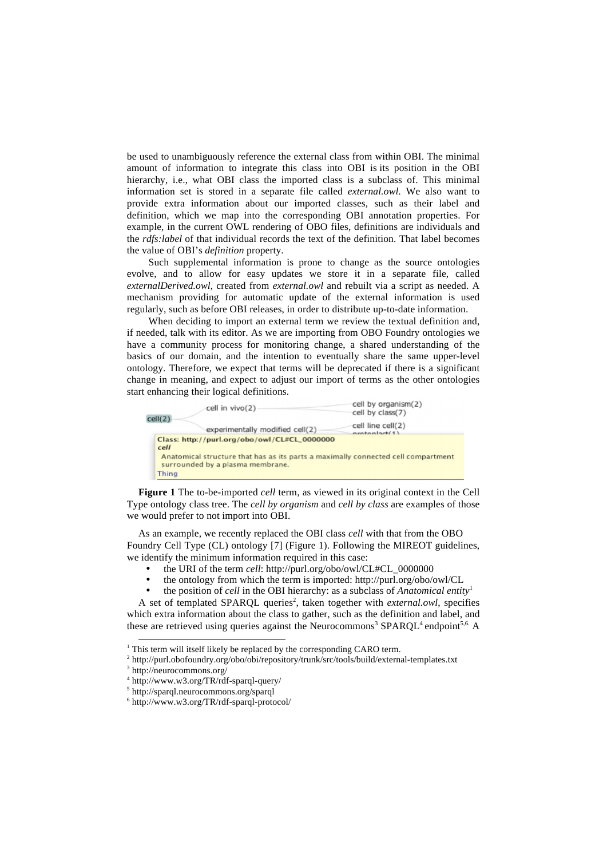be used to unambiguously reference the external class from within OBI. The minimal amount of information to integrate this class into OBI is its position in the OBI hierarchy, i.e., what OBI class the imported class is a subclass of. This minimal information set is stored in a separate file called *external.owl*. We also want to provide extra information about our imported classes, such as their label and definition, which we map into the corresponding OBI annotation properties. For example, in the current OWL rendering of OBO files, definitions are individuals and the *rdfs:label* of that individual records the text of the definition. That label becomes the value of OBI's *definition* property.

Such supplemental information is prone to change as the source ontologies evolve, and to allow for easy updates we store it in a separate file, called *externalDerived.owl*, created from *external.owl* and rebuilt via a script as needed. A mechanism providing for automatic update of the external information is used regularly, such as before OBI releases, in order to distribute up-to-date information.

When deciding to import an external term we review the textual definition and, if needed, talk with its editor. As we are importing from OBO Foundry ontologies we have a community process for monitoring change, a shared understanding of the basics of our domain, and the intention to eventually share the same upper-level ontology. Therefore, we expect that terms will be deprecated if there is a significant change in meaning, and expect to adjust our import of terms as the other ontologies start enhancing their logical definitions.



**Figure 1** The to-be-imported *cell* term, as viewed in its original context in the Cell Type ontology class tree. The *cell by organism* and *cell by class* are examples of those we would prefer to not import into OBI.

As an example, we recently replaced the OBI class *cell* with that from the OBO Foundry Cell Type (CL) ontology [7] (Figure 1). Following the MIREOT guidelines, we identify the minimum information required in this case:

- the URI of the term *cell*: http://purl.org/obo/owl/CL#CL\_0000000
- the ontology from which the term is imported: http://purl.org/obo/owl/CL
- the position of *cell* in the OBI hierarchy: as a subclass of *Anatomical entity*<sup>1</sup>

A set of templated SPARQL queries<sup>2</sup>, taken together with *external.owl*, specifies which extra information about the class to gather, such as the definition and label, and these are retrieved using queries against the Neurocommons<sup>3</sup>  $SPARQL<sup>4</sup>$ endpoint<sup>5,6.</sup> A

5 http://sparql.neurocommons.org/sparql

 $\frac{1}{1}$  Th This term will itself likely be replaced by the corresponding CARO term.<br> $\frac{2 \text{ bits}}{\text{ bits}}$  the loof under except  $\frac{2 \text{ bits}}{\text{ k}}$  tensites the look huld extern

 $^{\rm 2}$ http://purl.obofoundry.org/obo/obi/repository/trunk/src/tools/build/external-templates.txt

<sup>&</sup>lt;sup>3</sup> http://neurocommons.org/

<sup>4</sup> http://www.w3.org/TR/rdf-sparql-query/

<sup>6</sup> http://www.w3.org/TR/rdf-sparql-protocol/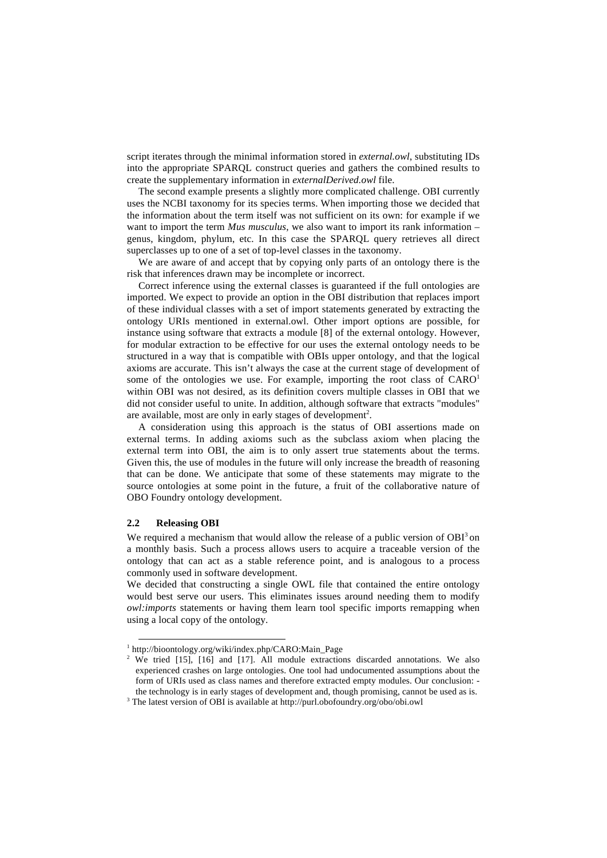script iterates through the minimal information stored in *external.owl*, substituting IDs into the appropriate SPARQL construct queries and gathers the combined results to create the supplementary information in *externalDerived.owl* file.

The second example presents a slightly more complicated challenge. OBI currently uses the NCBI taxonomy for its species terms. When importing those we decided that the information about the term itself was not sufficient on its own: for example if we want to import the term *Mus musculus*, we also want to import its rank information – genus, kingdom, phylum, etc. In this case the SPARQL query retrieves all direct superclasses up to one of a set of top-level classes in the taxonomy.

We are aware of and accept that by copying only parts of an ontology there is the risk that inferences drawn may be incomplete or incorrect.

Correct inference using the external classes is guaranteed if the full ontologies are imported. We expect to provide an option in the OBI distribution that replaces import of these individual classes with a set of import statements generated by extracting the ontology URIs mentioned in external.owl. Other import options are possible, for instance using software that extracts a module [8] of the external ontology. However, for modular extraction to be effective for our uses the external ontology needs to be structured in a way that is compatible with OBIs upper ontology, and that the logical axioms are accurate. This isn't always the case at the current stage of development of some of the ontologies we use. For example, importing the root class of  $CARO<sup>1</sup>$ within OBI was not desired, as its definition covers multiple classes in OBI that we did not consider useful to unite. In addition, although software that extracts "modules" are available, most are only in early stages of development<sup>2</sup>.

A consideration using this approach is the status of OBI assertions made on external terms. In adding axioms such as the subclass axiom when placing the external term into OBI, the aim is to only assert true statements about the terms. Given this, the use of modules in the future will only increase the breadth of reasoning that can be done. We anticipate that some of these statements may migrate to the source ontologies at some point in the future, a fruit of the collaborative nature of OBO Foundry ontology development.

### **2.2 Releasing OBI**

We required a mechanism that would allow the release of a public version of  $OBI<sup>3</sup>$  on a monthly basis. Such a process allows users to acquire a traceable version of the ontology that can act as a stable reference point, and is analogous to a process commonly used in software development.

We decided that constructing a single OWL file that contained the entire ontology would best serve our users. This eliminates issues around needing them to modify *owl:imports* statements or having them learn tool specific imports remapping when using a local copy of the ontology.

 $\frac{1}{1}$  ht <sup>1</sup> http://bioontology.org/wiki/index.php/CARO:Main\_Page  $\frac{2 \text{ Wo}}{2 \text{ Wo}}$  tried [15] [16] and [17] All module extraction

<sup>&</sup>lt;sup>2</sup> We tried [15], [16] and [17]. All module extractions discarded annotations. We also experienced crashes on large ontologies. One tool had undocumented assumptions about the form of URIs used as class names and therefore extracted empty modules. Our conclusion: the technology is in early stages of development and, though promising, cannot be used as is.

<sup>&</sup>lt;sup>3</sup> The latest version of OBI is available at http://purl.obofoundry.org/obo/obi.owl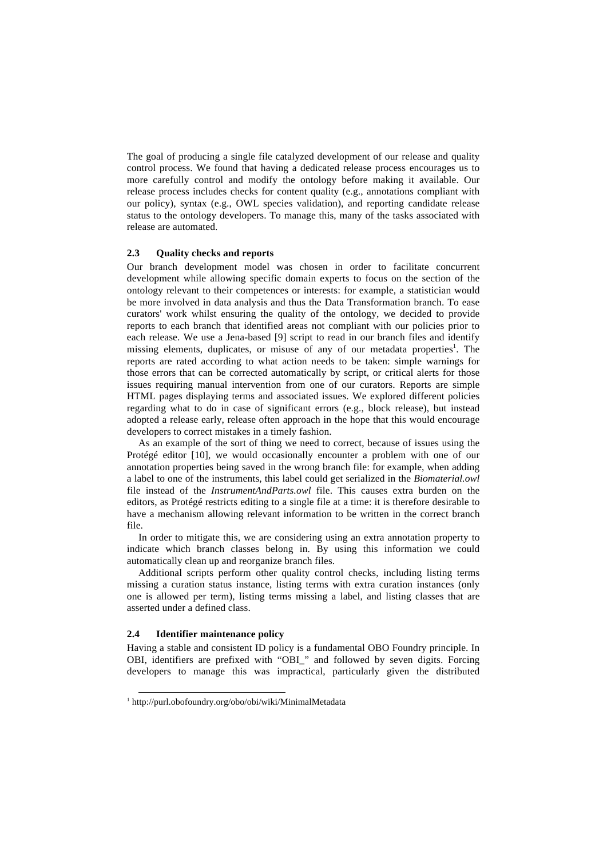The goal of producing a single file catalyzed development of our release and quality control process. We found that having a dedicated release process encourages us to more carefully control and modify the ontology before making it available. Our release process includes checks for content quality (e.g., annotations compliant with our policy), syntax (e.g., OWL species validation), and reporting candidate release status to the ontology developers. To manage this, many of the tasks associated with release are automated.

## **2.3 Quality checks and reports**

Our branch development model was chosen in order to facilitate concurrent development while allowing specific domain experts to focus on the section of the ontology relevant to their competences or interests: for example, a statistician would be more involved in data analysis and thus the Data Transformation branch. To ease curators' work whilst ensuring the quality of the ontology, we decided to provide reports to each branch that identified areas not compliant with our policies prior to each release. We use a Jena-based [9] script to read in our branch files and identify missing elements, duplicates, or misuse of any of our metadata properties<sup>1</sup>. The reports are rated according to what action needs to be taken: simple warnings for those errors that can be corrected automatically by script, or critical alerts for those issues requiring manual intervention from one of our curators. Reports are simple HTML pages displaying terms and associated issues. We explored different policies regarding what to do in case of significant errors (e.g., block release), but instead adopted a release early, release often approach in the hope that this would encourage developers to correct mistakes in a timely fashion.

As an example of the sort of thing we need to correct, because of issues using the Protégé editor [10], we would occasionally encounter a problem with one of our annotation properties being saved in the wrong branch file: for example, when adding a label to one of the instruments, this label could get serialized in the *Biomaterial.owl* file instead of the *InstrumentAndParts.owl* file. This causes extra burden on the editors, as Protégé restricts editing to a single file at a time: it is therefore desirable to have a mechanism allowing relevant information to be written in the correct branch file.

In order to mitigate this, we are considering using an extra annotation property to indicate which branch classes belong in. By using this information we could automatically clean up and reorganize branch files.

Additional scripts perform other quality control checks, including listing terms missing a curation status instance, listing terms with extra curation instances (only one is allowed per term), listing terms missing a label, and listing classes that are asserted under a defined class.

#### **2.4 Identifier maintenance policy**

Having a stable and consistent ID policy is a fundamental OBO Foundry principle. In OBI, identifiers are prefixed with "OBI\_" and followed by seven digits. Forcing developers to manage this was impractical, particularly given the distributed

 <sup>1</sup> http://purl.obofoundry.org/obo/obi/wiki/MinimalMetadata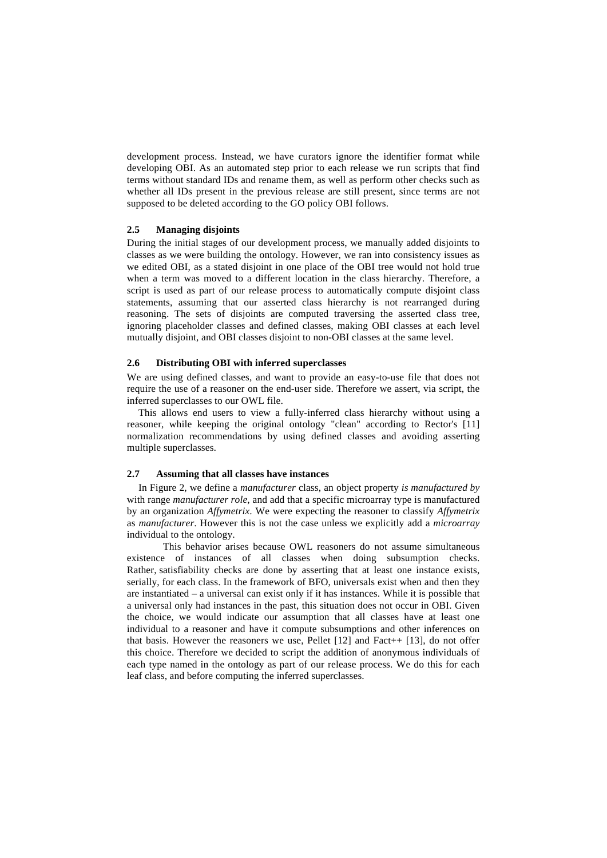development process. Instead, we have curators ignore the identifier format while developing OBI. As an automated step prior to each release we run scripts that find terms without standard IDs and rename them, as well as perform other checks such as whether all IDs present in the previous release are still present, since terms are not supposed to be deleted according to the GO policy OBI follows.

## **2.5 Managing disjoints**

During the initial stages of our development process, we manually added disjoints to classes as we were building the ontology. However, we ran into consistency issues as we edited OBI, as a stated disjoint in one place of the OBI tree would not hold true when a term was moved to a different location in the class hierarchy. Therefore, a script is used as part of our release process to automatically compute disjoint class statements, assuming that our asserted class hierarchy is not rearranged during reasoning. The sets of disjoints are computed traversing the asserted class tree, ignoring placeholder classes and defined classes, making OBI classes at each level mutually disjoint, and OBI classes disjoint to non-OBI classes at the same level.

## **2.6 Distributing OBI with inferred superclasses**

We are using defined classes, and want to provide an easy-to-use file that does not require the use of a reasoner on the end-user side. Therefore we assert, via script, the inferred superclasses to our OWL file.

This allows end users to view a fully-inferred class hierarchy without using a reasoner, while keeping the original ontology "clean" according to Rector's [11] normalization recommendations by using defined classes and avoiding asserting multiple superclasses.

### **2.7 Assuming that all classes have instances**

In Figure 2, we define a *manufacturer* class, an object property *is manufactured by* with range *manufacturer role*, and add that a specific microarray type is manufactured by an organization *Affymetrix*. We were expecting the reasoner to classify *Affymetrix* as *manufacturer*. However this is not the case unless we explicitly add a *microarray* individual to the ontology.

 This behavior arises because OWL reasoners do not assume simultaneous existence of instances of all classes when doing subsumption checks. Rather, satisfiability checks are done by asserting that at least one instance exists, serially, for each class. In the framework of BFO, universals exist when and then they are instantiated – a universal can exist only if it has instances. While it is possible that a universal only had instances in the past, this situation does not occur in OBI. Given the choice, we would indicate our assumption that all classes have at least one individual to a reasoner and have it compute subsumptions and other inferences on that basis. However the reasoners we use, Pellet [12] and Fact++ [13], do not offer this choice. Therefore we decided to script the addition of anonymous individuals of each type named in the ontology as part of our release process. We do this for each leaf class, and before computing the inferred superclasses.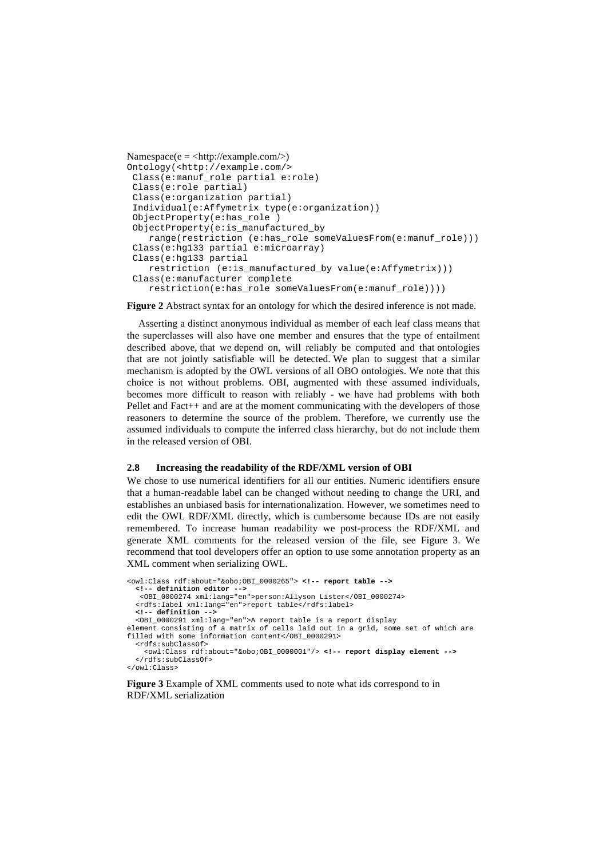```
Namespace(e = <http://example.com/>)Ontology(<http://example.com/> 
  Class(e:manuf_role partial e:role) 
 Class(e:role partial) 
 Class(e:organization partial) 
  Individual(e:Affymetrix type(e:organization)) 
  ObjectProperty(e:has_role ) 
 ObjectProperty(e:is_manufactured_by 
    range(restriction (e:has_role someValuesFrom(e:manuf_role))) 
 Class(e:hg133 partial e:microarray) 
  Class(e:hg133 partial 
     restriction (e:is_manufactured_by value(e:Affymetrix))) 
  Class(e:manufacturer complete 
     restriction(e:has_role someValuesFrom(e:manuf_role))))
```
**Figure 2** Abstract syntax for an ontology for which the desired inference is not made.

Asserting a distinct anonymous individual as member of each leaf class means that the superclasses will also have one member and ensures that the type of entailment described above, that we depend on, will reliably be computed and that ontologies that are not jointly satisfiable will be detected. We plan to suggest that a similar mechanism is adopted by the OWL versions of all OBO ontologies. We note that this choice is not without problems. OBI, augmented with these assumed individuals, becomes more difficult to reason with reliably - we have had problems with both Pellet and Fact++ and are at the moment communicating with the developers of those reasoners to determine the source of the problem. Therefore, we currently use the assumed individuals to compute the inferred class hierarchy, but do not include them in the released version of OBI.

#### **2.8 Increasing the readability of the RDF/XML version of OBI**

We chose to use numerical identifiers for all our entities. Numeric identifiers ensure that a human-readable label can be changed without needing to change the URI, and establishes an unbiased basis for internationalization. However, we sometimes need to edit the OWL RDF/XML directly, which is cumbersome because IDs are not easily remembered. To increase human readability we post-process the RDF/XML and generate XML comments for the released version of the file, see Figure 3. We recommend that tool developers offer an option to use some annotation property as an XML comment when serializing OWL.

```
<owl:Class rdf:about="&obo;OBI_0000265"> <!-- report table --> 
   <!-- definition editor --> 
    <OBI_0000274 xml:lang="en">person:Allyson Lister</OBI_0000274> 
   <rdfs:label xml:lang="en">report table</rdfs:label> 
   <!-- definition --> 
   <OBI_0000291 xml:lang="en">A report table is a report display 
element consisting of a matrix of cells laid out in a grid, some set of which are 
filled with some information content</OBI_0000291> 
   <rdfs:subClassOf> 
     <owl:Class rdf:about="&obo;OBI_0000001"/> <!-- report display element --> 
   </rdfs:subClassOf> 
</owl:Class>
```
**Figure 3** Example of XML comments used to note what ids correspond to in RDF/XML serialization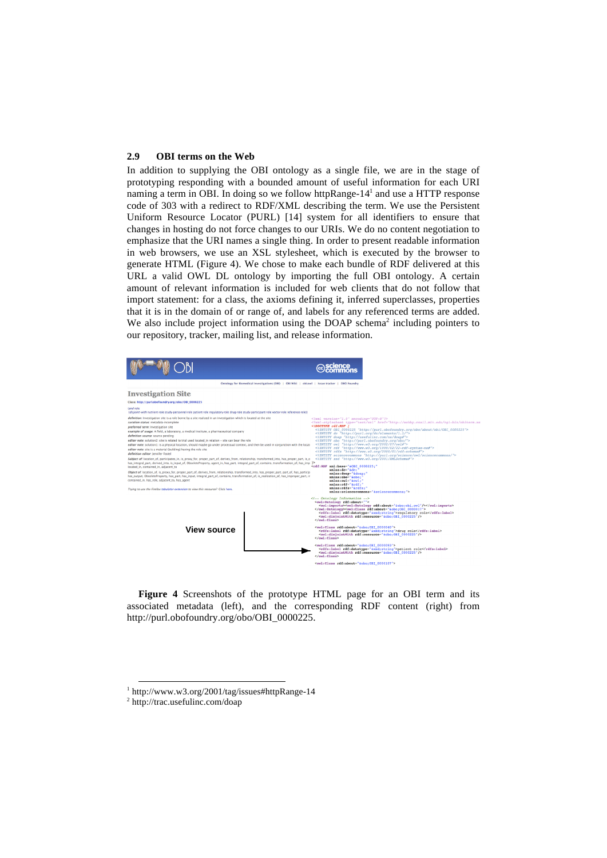### **2.9 OBI terms on the Web**

In addition to supplying the OBI ontology as a single file, we are in the stage of prototyping responding with a bounded amount of useful information for each URI naming a term in OBI. In doing so we follow httpRange-14<sup>1</sup> and use a HTTP response code of 303 with a redirect to RDF/XML describing the term. We use the Persistent Uniform Resource Locator (PURL) [14] system for all identifiers to ensure that changes in hosting do not force changes to our URIs. We do no content negotiation to emphasize that the URI names a single thing. In order to present readable information in web browsers, we use an XSL stylesheet, which is executed by the browser to generate HTML (Figure 4). We chose to make each bundle of RDF delivered at this URL a valid OWL DL ontology by importing the full OBI ontology. A certain amount of relevant information is included for web clients that do not follow that import statement: for a class, the axioms defining it, inferred superclasses, properties that it is in the domain of or range of, and labels for any referenced terms are added. We also include project information using the DOAP schema<sup>2</sup> including pointers to our repository, tracker, mailing list, and release information.



**Figure 4** Screenshots of the prototype HTML page for an OBI term and its associated metadata (left), and the corresponding RDF content (right) from http://purl.obofoundry.org/obo/OBI\_0000225.

 <sup>1</sup> http://www.w3.org/2001/tag/issues#httpRange-14

<sup>2</sup> http://trac.usefulinc.com/doap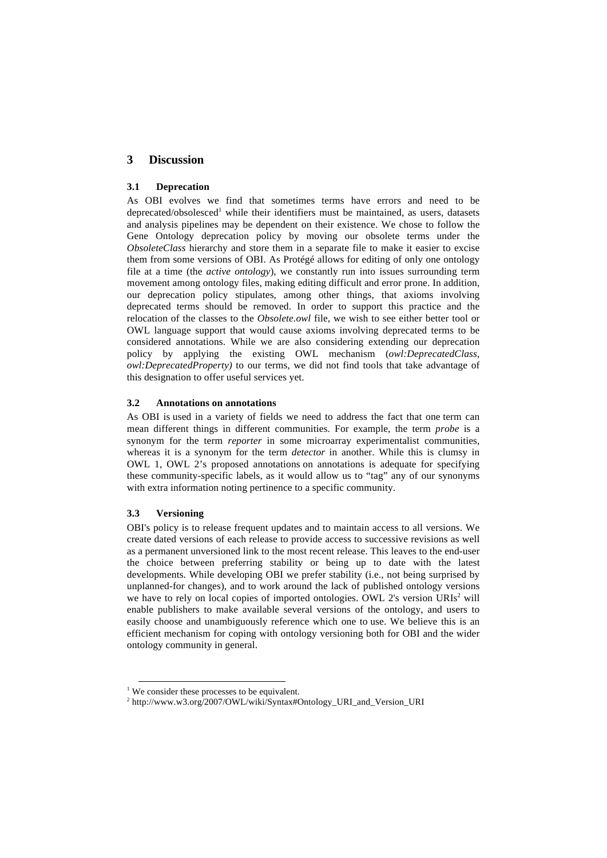## **3 Discussion**

### **3.1 Deprecation**

As OBI evolves we find that sometimes terms have errors and need to be deprecated/obsolesced<sup>1</sup> while their identifiers must be maintained, as users, datasets and analysis pipelines may be dependent on their existence. We chose to follow the Gene Ontology deprecation policy by moving our obsolete terms under the *ObsoleteClass* hierarchy and store them in a separate file to make it easier to excise them from some versions of OBI. As Protégé allows for editing of only one ontology file at a time (the *active ontology*), we constantly run into issues surrounding term movement among ontology files, making editing difficult and error prone. In addition, our deprecation policy stipulates, among other things, that axioms involving deprecated terms should be removed. In order to support this practice and the relocation of the classes to the *Obsolete.owl* file, we wish to see either better tool or OWL language support that would cause axioms involving deprecated terms to be considered annotations. While we are also considering extending our deprecation policy by applying the existing OWL mechanism (*owl:DeprecatedClass*, *owl:DeprecatedProperty)* to our terms, we did not find tools that take advantage of this designation to offer useful services yet.

### **3.2 Annotations on annotations**

As OBI is used in a variety of fields we need to address the fact that one term can mean different things in different communities. For example, the term *probe* is a synonym for the term *reporter* in some microarray experimentalist communities, whereas it is a synonym for the term *detector* in another. While this is clumsy in OWL 1, OWL 2's proposed annotations on annotations is adequate for specifying these community-specific labels, as it would allow us to "tag" any of our synonyms with extra information noting pertinence to a specific community.

## **3.3 Versioning**

OBI's policy is to release frequent updates and to maintain access to all versions. We create dated versions of each release to provide access to successive revisions as well as a permanent unversioned link to the most recent release. This leaves to the end-user the choice between preferring stability or being up to date with the latest developments. While developing OBI we prefer stability (i.e., not being surprised by unplanned-for changes), and to work around the lack of published ontology versions we have to rely on local copies of imported ontologies. OWL 2's version URIs<sup>2</sup> will enable publishers to make available several versions of the ontology, and users to easily choose and unambiguously reference which one to use. We believe this is an efficient mechanism for coping with ontology versioning both for OBI and the wider ontology community in general.

<sup>&</sup>lt;sup>1</sup> We consider these processes to be equivalent.

<sup>&</sup>lt;sup>2</sup> http://www.w3.org/2007/OWL/wiki/Syntax#Ontology\_URI\_and\_Version\_URI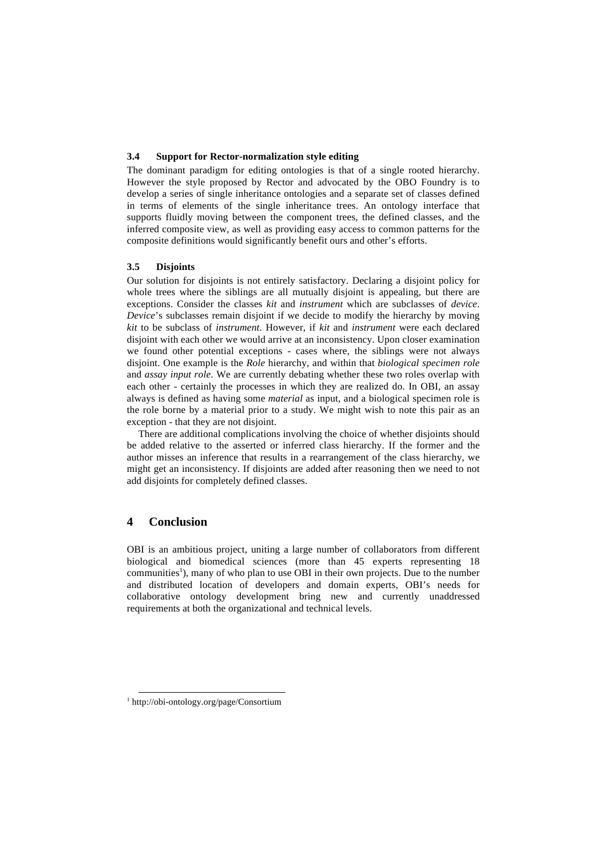### **3.4 Support for Rector-normalization style editing**

The dominant paradigm for editing ontologies is that of a single rooted hierarchy. However the style proposed by Rector and advocated by the OBO Foundry is to develop a series of single inheritance ontologies and a separate set of classes defined in terms of elements of the single inheritance trees. An ontology interface that supports fluidly moving between the component trees, the defined classes, and the inferred composite view, as well as providing easy access to common patterns for the composite definitions would significantly benefit ours and other's efforts.

### **3.5 Disjoints**

Our solution for disjoints is not entirely satisfactory. Declaring a disjoint policy for whole trees where the siblings are all mutually disjoint is appealing, but there are exceptions. Consider the classes *kit* and *instrument* which are subclasses of *device*. *Device*'s subclasses remain disjoint if we decide to modify the hierarchy by moving *kit* to be subclass of *instrument*. However, if *kit* and *instrument* were each declared disjoint with each other we would arrive at an inconsistency. Upon closer examination we found other potential exceptions - cases where, the siblings were not always disjoint. One example is the *Role* hierarchy, and within that *biological specimen role* and *assay input role*. We are currently debating whether these two roles overlap with each other - certainly the processes in which they are realized do. In OBI, an assay always is defined as having some *material* as input, and a biological specimen role is the role borne by a material prior to a study. We might wish to note this pair as an exception - that they are not disjoint.

There are additional complications involving the choice of whether disjoints should be added relative to the asserted or inferred class hierarchy. If the former and the author misses an inference that results in a rearrangement of the class hierarchy, we might get an inconsistency. If disjoints are added after reasoning then we need to not add disjoints for completely defined classes.

# **4 Conclusion**

OBI is an ambitious project, uniting a large number of collaborators from different biological and biomedical sciences (more than 45 experts representing 18 communities<sup>1</sup>), many of who plan to use OBI in their own projects. Due to the number and distributed location of developers and domain experts, OBI's needs for collaborative ontology development bring new and currently unaddressed requirements at both the organizational and technical levels.

 <sup>1</sup> http://obi-ontology.org/page/Consortium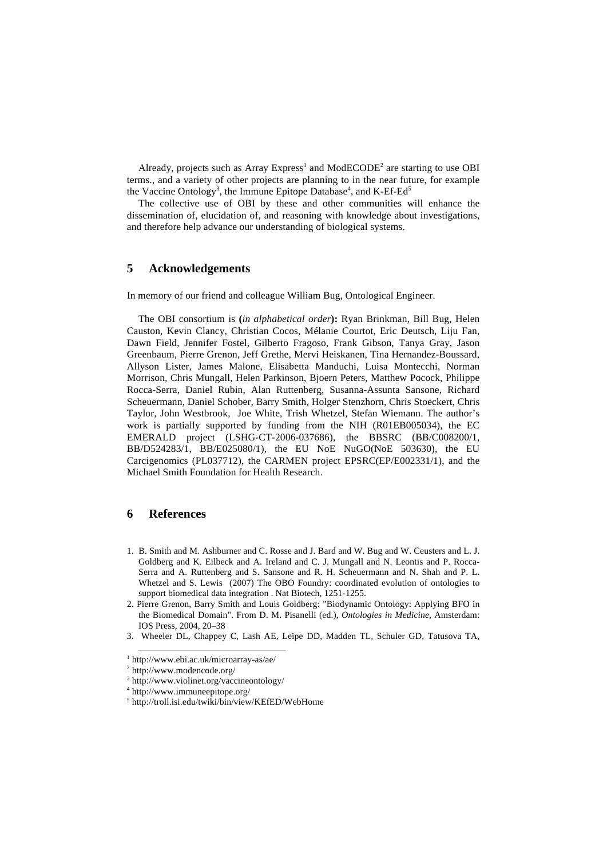Already, projects such as Array Express<sup>1</sup> and ModECODE<sup>2</sup> are starting to use OBI terms., and a variety of other projects are planning to in the near future, for example the Vaccine Ontology<sup>3</sup>, the Immune Epitope Database<sup>4</sup>, and K-Ef-Ed<sup>5</sup>

The collective use of OBI by these and other communities will enhance the dissemination of, elucidation of, and reasoning with knowledge about investigations, and therefore help advance our understanding of biological systems.

# **5 Acknowledgements**

In memory of our friend and colleague William Bug, Ontological Engineer.

The OBI consortium is **(***in alphabetical order***):** Ryan Brinkman, Bill Bug, Helen Causton, Kevin Clancy, Christian Cocos, Mélanie Courtot, Eric Deutsch, Liju Fan, Dawn Field, Jennifer Fostel, Gilberto Fragoso, Frank Gibson, Tanya Gray, Jason Greenbaum, Pierre Grenon, Jeff Grethe, Mervi Heiskanen, Tina Hernandez-Boussard, Allyson Lister, James Malone, Elisabetta Manduchi, Luisa Montecchi, Norman Morrison, Chris Mungall, Helen Parkinson, Bjoern Peters, Matthew Pocock, Philippe Rocca-Serra, Daniel Rubin, Alan Ruttenberg, Susanna-Assunta Sansone, Richard Scheuermann, Daniel Schober, Barry Smith, Holger Stenzhorn, Chris Stoeckert, Chris Taylor, John Westbrook, Joe White, Trish Whetzel, Stefan Wiemann. The author's work is partially supported by funding from the NIH (R01EB005034), the EC EMERALD project (LSHG-CT-2006-037686), the BBSRC (BB/C008200/1, BB/D524283/1, BB/E025080/1), the EU NoE NuGO(NoE 503630), the EU Carcigenomics (PL037712), the CARMEN project EPSRC(EP/E002331/1), and the Michael Smith Foundation for Health Research.

## **6 References**

- 1. B. Smith and M. Ashburner and C. Rosse and J. Bard and W. Bug and W. Ceusters and L. J. Goldberg and K. Eilbeck and A. Ireland and C. J. Mungall and N. Leontis and P. Rocca-Serra and A. Ruttenberg and S. Sansone and R. H. Scheuermann and N. Shah and P. L. Whetzel and S. Lewis (2007) The OBO Foundry: coordinated evolution of ontologies to support biomedical data integration . Nat Biotech, 1251-1255.
- 2. Pierre Grenon, Barry Smith and Louis Goldberg: "Biodynamic Ontology: Applying BFO in the Biomedical Domain". From D. M. Pisanelli (ed.), *Ontologies in Medicine*, Amsterdam: IOS Press, 2004, 20–38
- 3. Wheeler DL, Chappey C, Lash AE, Leipe DD, Madden TL, Schuler GD, Tatusova TA,

 <sup>1</sup> http://www.ebi.ac.uk/microarray-as/ae/

<sup>2</sup> http://www.modencode.org/

<sup>3</sup> http://www.violinet.org/vaccineontology/

<sup>4</sup> http://www.immuneepitope.org/

<sup>5</sup> http://troll.isi.edu/twiki/bin/view/KEfED/WebHome